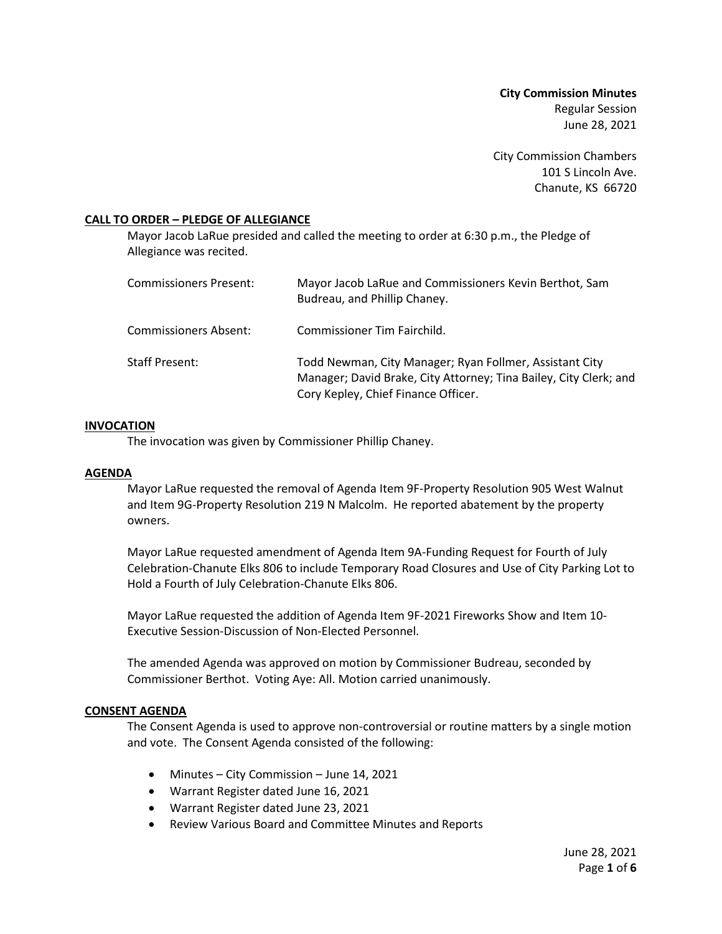**City Commission Minutes** Regular Session June 28, 2021

City Commission Chambers 101 S Lincoln Ave. Chanute, KS 66720

# **CALL TO ORDER – PLEDGE OF ALLEGIANCE**

Mayor Jacob LaRue presided and called the meeting to order at 6:30 p.m., the Pledge of Allegiance was recited.

| <b>Commissioners Present:</b> | Mayor Jacob LaRue and Commissioners Kevin Berthot, Sam<br>Budreau, and Phillip Chaney.                                                                              |
|-------------------------------|---------------------------------------------------------------------------------------------------------------------------------------------------------------------|
| <b>Commissioners Absent:</b>  | Commissioner Tim Fairchild.                                                                                                                                         |
| <b>Staff Present:</b>         | Todd Newman, City Manager; Ryan Follmer, Assistant City<br>Manager; David Brake, City Attorney; Tina Bailey, City Clerk; and<br>Cory Kepley, Chief Finance Officer. |

### **INVOCATION**

The invocation was given by Commissioner Phillip Chaney.

### **AGENDA**

Mayor LaRue requested the removal of Agenda Item 9F-Property Resolution 905 West Walnut and Item 9G-Property Resolution 219 N Malcolm. He reported abatement by the property owners.

Mayor LaRue requested amendment of Agenda Item 9A-Funding Request for Fourth of July Celebration-Chanute Elks 806 to include Temporary Road Closures and Use of City Parking Lot to Hold a Fourth of July Celebration-Chanute Elks 806.

Mayor LaRue requested the addition of Agenda Item 9F-2021 Fireworks Show and Item 10- Executive Session-Discussion of Non-Elected Personnel.

The amended Agenda was approved on motion by Commissioner Budreau, seconded by Commissioner Berthot. Voting Aye: All. Motion carried unanimously.

### **CONSENT AGENDA**

The Consent Agenda is used to approve non-controversial or routine matters by a single motion and vote. The Consent Agenda consisted of the following:

- Minutes City Commission June 14, 2021
- Warrant Register dated June 16, 2021
- Warrant Register dated June 23, 2021
- Review Various Board and Committee Minutes and Reports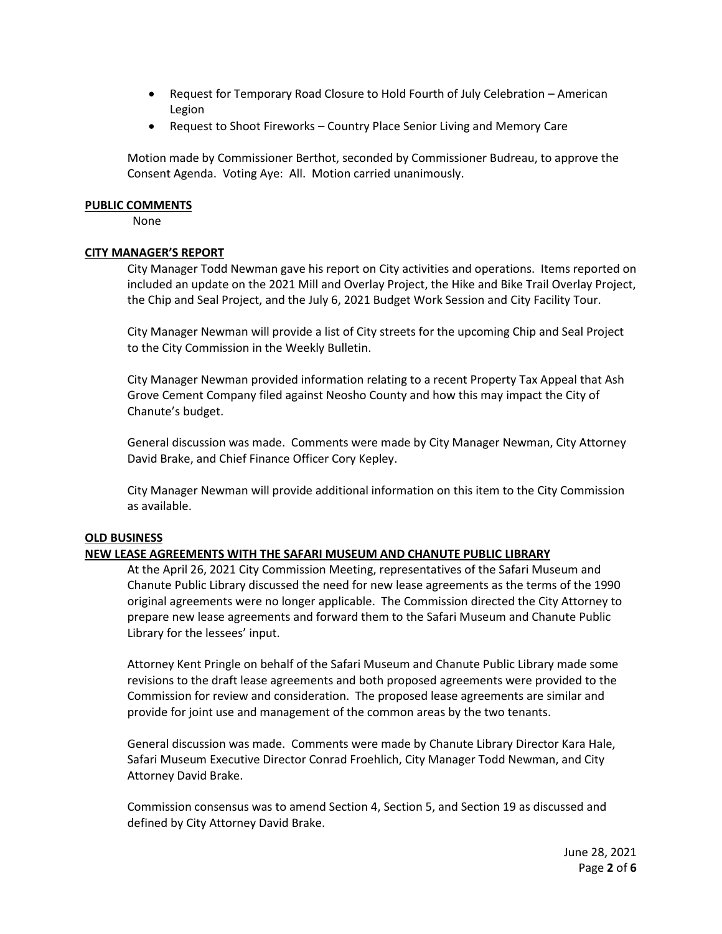- Request for Temporary Road Closure to Hold Fourth of July Celebration American Legion
- Request to Shoot Fireworks Country Place Senior Living and Memory Care

Motion made by Commissioner Berthot, seconded by Commissioner Budreau, to approve the Consent Agenda. Voting Aye: All. Motion carried unanimously.

## **PUBLIC COMMENTS**

None

# **CITY MANAGER'S REPORT**

City Manager Todd Newman gave his report on City activities and operations. Items reported on included an update on the 2021 Mill and Overlay Project, the Hike and Bike Trail Overlay Project, the Chip and Seal Project, and the July 6, 2021 Budget Work Session and City Facility Tour.

City Manager Newman will provide a list of City streets for the upcoming Chip and Seal Project to the City Commission in the Weekly Bulletin.

City Manager Newman provided information relating to a recent Property Tax Appeal that Ash Grove Cement Company filed against Neosho County and how this may impact the City of Chanute's budget.

General discussion was made. Comments were made by City Manager Newman, City Attorney David Brake, and Chief Finance Officer Cory Kepley.

City Manager Newman will provide additional information on this item to the City Commission as available.

# **OLD BUSINESS**

# **NEW LEASE AGREEMENTS WITH THE SAFARI MUSEUM AND CHANUTE PUBLIC LIBRARY**

At the April 26, 2021 City Commission Meeting, representatives of the Safari Museum and Chanute Public Library discussed the need for new lease agreements as the terms of the 1990 original agreements were no longer applicable. The Commission directed the City Attorney to prepare new lease agreements and forward them to the Safari Museum and Chanute Public Library for the lessees' input.

Attorney Kent Pringle on behalf of the Safari Museum and Chanute Public Library made some revisions to the draft lease agreements and both proposed agreements were provided to the Commission for review and consideration. The proposed lease agreements are similar and provide for joint use and management of the common areas by the two tenants.

General discussion was made. Comments were made by Chanute Library Director Kara Hale, Safari Museum Executive Director Conrad Froehlich, City Manager Todd Newman, and City Attorney David Brake.

Commission consensus was to amend Section 4, Section 5, and Section 19 as discussed and defined by City Attorney David Brake.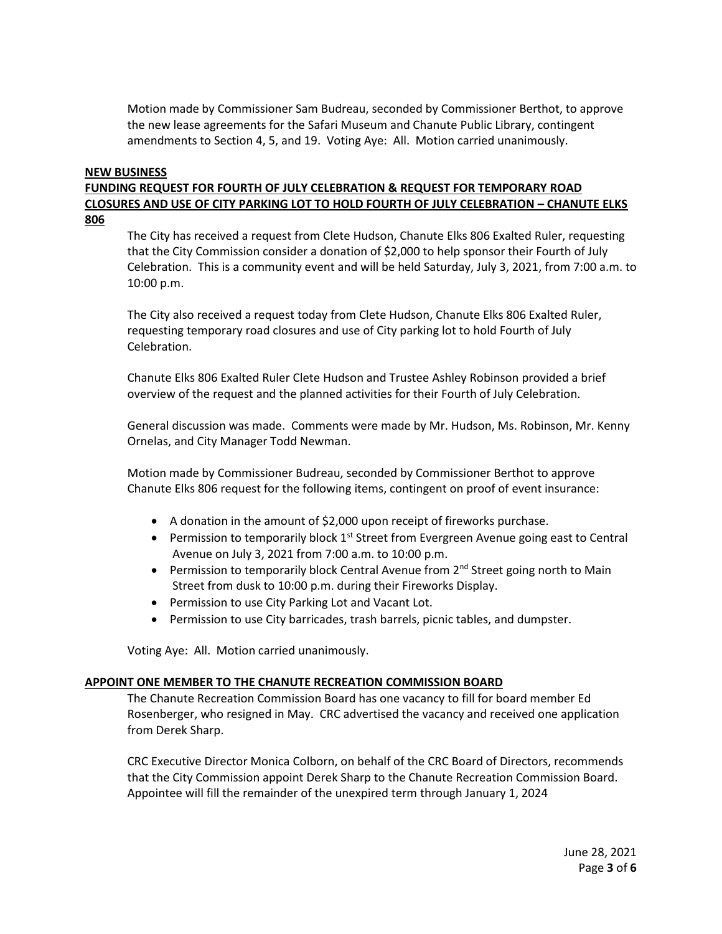Motion made by Commissioner Sam Budreau, seconded by Commissioner Berthot, to approve the new lease agreements for the Safari Museum and Chanute Public Library, contingent amendments to Section 4, 5, and 19. Voting Aye: All. Motion carried unanimously.

### **NEW BUSINESS**

# **FUNDING REQUEST FOR FOURTH OF JULY CELEBRATION & REQUEST FOR TEMPORARY ROAD CLOSURES AND USE OF CITY PARKING LOT TO HOLD FOURTH OF JULY CELEBRATION – CHANUTE ELKS 806**

The City has received a request from Clete Hudson, Chanute Elks 806 Exalted Ruler, requesting that the City Commission consider a donation of \$2,000 to help sponsor their Fourth of July Celebration. This is a community event and will be held Saturday, July 3, 2021, from 7:00 a.m. to 10:00 p.m.

The City also received a request today from Clete Hudson, Chanute Elks 806 Exalted Ruler, requesting temporary road closures and use of City parking lot to hold Fourth of July Celebration.

Chanute Elks 806 Exalted Ruler Clete Hudson and Trustee Ashley Robinson provided a brief overview of the request and the planned activities for their Fourth of July Celebration.

General discussion was made. Comments were made by Mr. Hudson, Ms. Robinson, Mr. Kenny Ornelas, and City Manager Todd Newman.

Motion made by Commissioner Budreau, seconded by Commissioner Berthot to approve Chanute Elks 806 request for the following items, contingent on proof of event insurance:

- A donation in the amount of \$2,000 upon receipt of fireworks purchase.
- Permission to temporarily block  $1<sup>st</sup>$  Street from Evergreen Avenue going east to Central Avenue on July 3, 2021 from 7:00 a.m. to 10:00 p.m.
- Permission to temporarily block Central Avenue from  $2^{nd}$  Street going north to Main Street from dusk to 10:00 p.m. during their Fireworks Display.
- Permission to use City Parking Lot and Vacant Lot.
- Permission to use City barricades, trash barrels, picnic tables, and dumpster.

Voting Aye: All. Motion carried unanimously.

# **APPOINT ONE MEMBER TO THE CHANUTE RECREATION COMMISSION BOARD**

The Chanute Recreation Commission Board has one vacancy to fill for board member Ed Rosenberger, who resigned in May. CRC advertised the vacancy and received one application from Derek Sharp.

CRC Executive Director Monica Colborn, on behalf of the CRC Board of Directors, recommends that the City Commission appoint Derek Sharp to the Chanute Recreation Commission Board. Appointee will fill the remainder of the unexpired term through January 1, 2024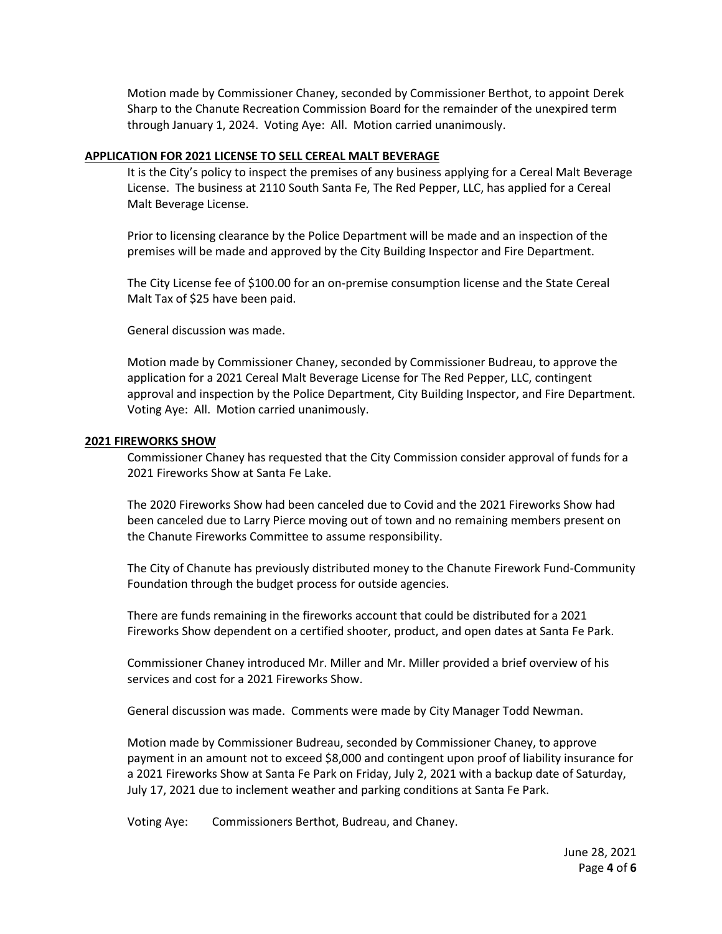Motion made by Commissioner Chaney, seconded by Commissioner Berthot, to appoint Derek Sharp to the Chanute Recreation Commission Board for the remainder of the unexpired term through January 1, 2024. Voting Aye: All. Motion carried unanimously.

## **APPLICATION FOR 2021 LICENSE TO SELL CEREAL MALT BEVERAGE**

It is the City's policy to inspect the premises of any business applying for a Cereal Malt Beverage License. The business at 2110 South Santa Fe, The Red Pepper, LLC, has applied for a Cereal Malt Beverage License.

Prior to licensing clearance by the Police Department will be made and an inspection of the premises will be made and approved by the City Building Inspector and Fire Department.

The City License fee of \$100.00 for an on-premise consumption license and the State Cereal Malt Tax of \$25 have been paid.

General discussion was made.

Motion made by Commissioner Chaney, seconded by Commissioner Budreau, to approve the application for a 2021 Cereal Malt Beverage License for The Red Pepper, LLC, contingent approval and inspection by the Police Department, City Building Inspector, and Fire Department. Voting Aye: All. Motion carried unanimously.

# **2021 FIREWORKS SHOW**

Commissioner Chaney has requested that the City Commission consider approval of funds for a 2021 Fireworks Show at Santa Fe Lake.

The 2020 Fireworks Show had been canceled due to Covid and the 2021 Fireworks Show had been canceled due to Larry Pierce moving out of town and no remaining members present on the Chanute Fireworks Committee to assume responsibility.

The City of Chanute has previously distributed money to the Chanute Firework Fund-Community Foundation through the budget process for outside agencies.

There are funds remaining in the fireworks account that could be distributed for a 2021 Fireworks Show dependent on a certified shooter, product, and open dates at Santa Fe Park.

Commissioner Chaney introduced Mr. Miller and Mr. Miller provided a brief overview of his services and cost for a 2021 Fireworks Show.

General discussion was made. Comments were made by City Manager Todd Newman.

Motion made by Commissioner Budreau, seconded by Commissioner Chaney, to approve payment in an amount not to exceed \$8,000 and contingent upon proof of liability insurance for a 2021 Fireworks Show at Santa Fe Park on Friday, July 2, 2021 with a backup date of Saturday, July 17, 2021 due to inclement weather and parking conditions at Santa Fe Park.

Voting Aye: Commissioners Berthot, Budreau, and Chaney.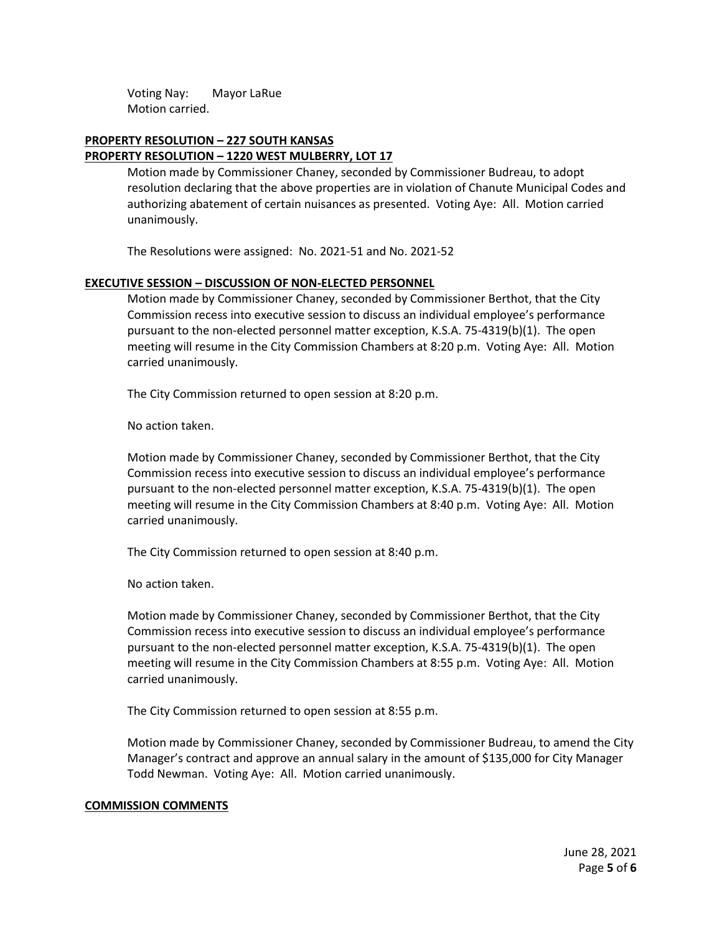Voting Nay: Mayor LaRue Motion carried.

## **PROPERTY RESOLUTION – 227 SOUTH KANSAS PROPERTY RESOLUTION – 1220 WEST MULBERRY, LOT 17**

Motion made by Commissioner Chaney, seconded by Commissioner Budreau, to adopt resolution declaring that the above properties are in violation of Chanute Municipal Codes and authorizing abatement of certain nuisances as presented. Voting Aye: All. Motion carried unanimously.

The Resolutions were assigned: No. 2021-51 and No. 2021-52

# **EXECUTIVE SESSION – DISCUSSION OF NON-ELECTED PERSONNEL**

Motion made by Commissioner Chaney, seconded by Commissioner Berthot, that the City Commission recess into executive session to discuss an individual employee's performance pursuant to the non-elected personnel matter exception, K.S.A. 75-4319(b)(1). The open meeting will resume in the City Commission Chambers at 8:20 p.m. Voting Aye: All. Motion carried unanimously.

The City Commission returned to open session at 8:20 p.m.

No action taken.

Motion made by Commissioner Chaney, seconded by Commissioner Berthot, that the City Commission recess into executive session to discuss an individual employee's performance pursuant to the non-elected personnel matter exception, K.S.A. 75-4319(b)(1). The open meeting will resume in the City Commission Chambers at 8:40 p.m. Voting Aye: All. Motion carried unanimously.

The City Commission returned to open session at 8:40 p.m.

No action taken.

Motion made by Commissioner Chaney, seconded by Commissioner Berthot, that the City Commission recess into executive session to discuss an individual employee's performance pursuant to the non-elected personnel matter exception, K.S.A. 75-4319(b)(1). The open meeting will resume in the City Commission Chambers at 8:55 p.m. Voting Aye: All. Motion carried unanimously.

The City Commission returned to open session at 8:55 p.m.

Motion made by Commissioner Chaney, seconded by Commissioner Budreau, to amend the City Manager's contract and approve an annual salary in the amount of \$135,000 for City Manager Todd Newman. Voting Aye: All. Motion carried unanimously.

### **COMMISSION COMMENTS**